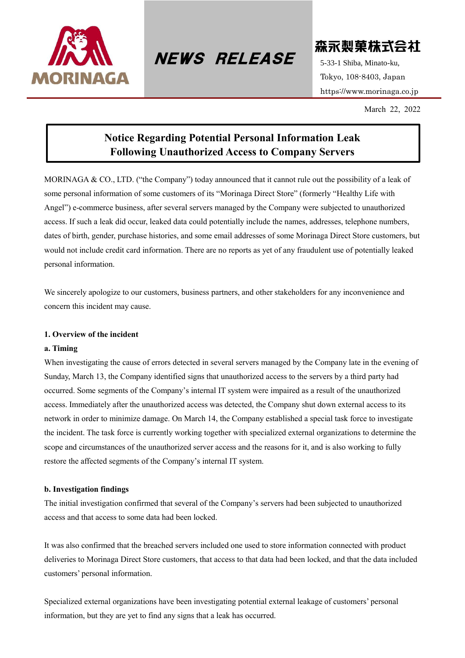

 $NEWS$  RELEASE  $5-33-1$  Shiba, Minato-ku,

森永製菓株式会社

Tokyo, 108-8403, Japan https://www.morinaga.co.jp

March 22, 2022

# **Notice Regarding Potential Personal Information Leak Following Unauthorized Access to Company Servers**

MORINAGA & CO., LTD. ("the Company") today announced that it cannot rule out the possibility of a leak of some personal information of some customers of its "Morinaga Direct Store" (formerly "Healthy Life with Angel") e-commerce business, after several servers managed by the Company were subjected to unauthorized access. If such a leak did occur, leaked data could potentially include the names, addresses, telephone numbers, dates of birth, gender, purchase histories, and some email addresses of some Morinaga Direct Store customers, but would not include credit card information. There are no reports as yet of any fraudulent use of potentially leaked personal information.

We sincerely apologize to our customers, business partners, and other stakeholders for any inconvenience and concern this incident may cause.

## **1. Overview of the incident**

#### **a. Timing**

When investigating the cause of errors detected in several servers managed by the Company late in the evening of Sunday, March 13, the Company identified signs that unauthorized access to the servers by a third party had occurred. Some segments of the Company's internal IT system were impaired as a result of the unauthorized access. Immediately after the unauthorized access was detected, the Company shut down external access to its network in order to minimize damage. On March 14, the Company established a special task force to investigate the incident. The task force is currently working together with specialized external organizations to determine the scope and circumstances of the unauthorized server access and the reasons for it, and is also working to fully restore the affected segments of the Company's internal IT system.

#### **b. Investigation findings**

The initial investigation confirmed that several of the Company's servers had been subjected to unauthorized access and that access to some data had been locked.

It was also confirmed that the breached servers included one used to store information connected with product deliveries to Morinaga Direct Store customers, that access to that data had been locked, and that the data included customers' personal information.

Specialized external organizations have been investigating potential external leakage of customers' personal information, but they are yet to find any signs that a leak has occurred.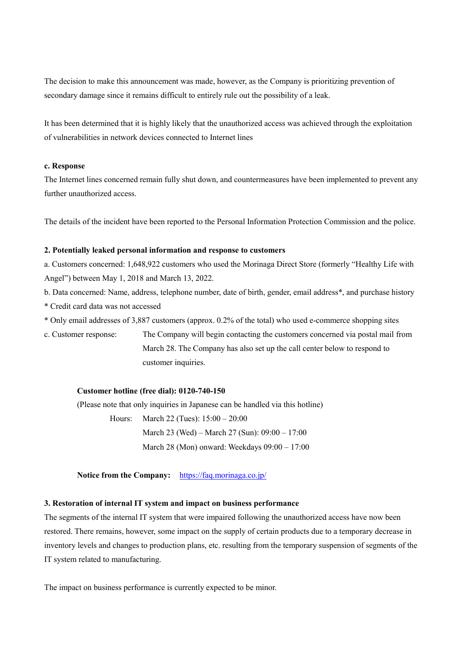The decision to make this announcement was made, however, as the Company is prioritizing prevention of secondary damage since it remains difficult to entirely rule out the possibility of a leak.

It has been determined that it is highly likely that the unauthorized access was achieved through the exploitation of vulnerabilities in network devices connected to Internet lines

#### **c. Response**

The Internet lines concerned remain fully shut down, and countermeasures have been implemented to prevent any further unauthorized access.

The details of the incident have been reported to the Personal Information Protection Commission and the police.

#### **2. Potentially leaked personal information and response to customers**

a. Customers concerned: 1,648,922 customers who used the Morinaga Direct Store (formerly "Healthy Life with Angel") between May 1, 2018 and March 13, 2022.

- b. Data concerned: Name, address, telephone number, date of birth, gender, email address\*, and purchase history
- \* Credit card data was not accessed
- \* Only email addresses of 3,887 customers (approx. 0.2% of the total) who used e-commerce shopping sites

c. Customer response: The Company will begin contacting the customers concerned via postal mail from March 28. The Company has also set up the call center below to respond to customer inquiries.

## **Customer hotline (free dial): 0120-740-150**

(Please note that only inquiries in Japanese can be handled via this hotline)

Hours: March 22 (Tues): 15:00 – 20:00

March 23 (Wed) – March 27 (Sun): 09:00 – 17:00

March 28 (Mon) onward: Weekdays 09:00 – 17:00

**Notice from the Company:** <https://faq.morinaga.co.jp/>

## **3. Restoration of internal IT system and impact on business performance**

The segments of the internal IT system that were impaired following the unauthorized access have now been restored. There remains, however, some impact on the supply of certain products due to a temporary decrease in inventory levels and changes to production plans, etc. resulting from the temporary suspension of segments of the IT system related to manufacturing.

The impact on business performance is currently expected to be minor.